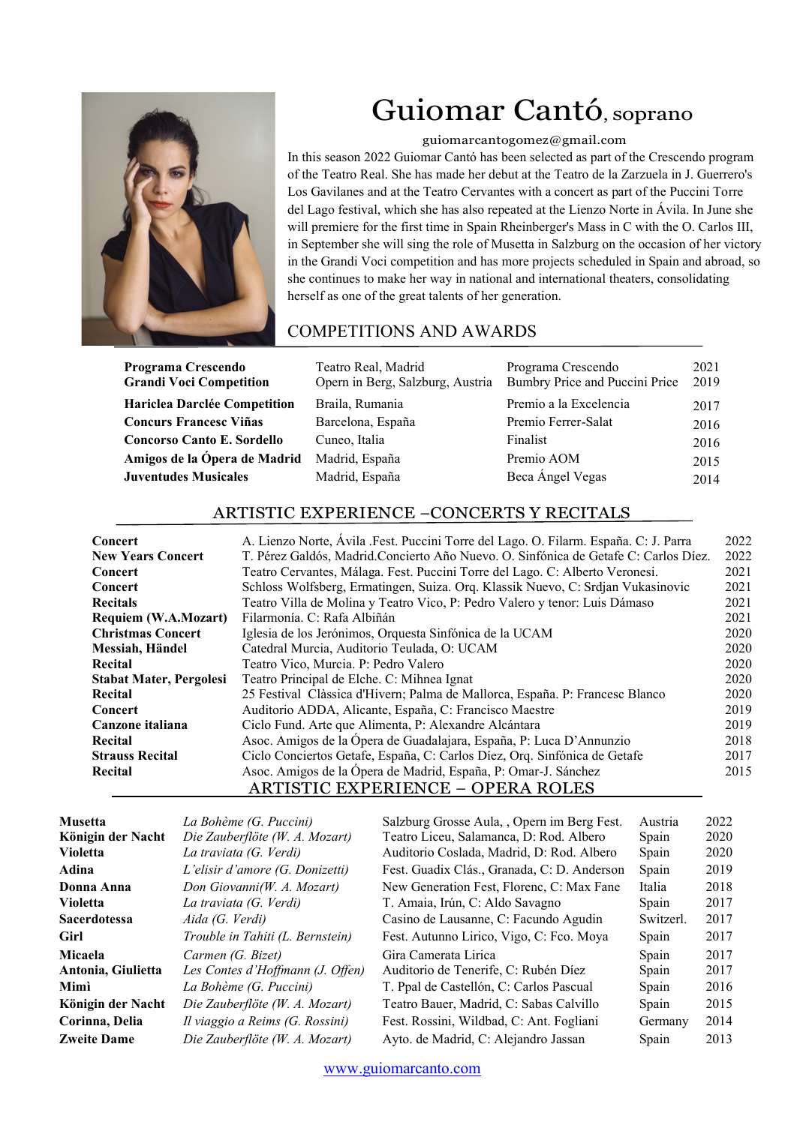

# Guiomar Cantó, soprano

#### guiomarcantogomez@gmail.com

In this season 2022 Guiomar Cantó has been selected as part of the Crescendo program of the Teatro Real. She has made her debut at the Teatro de la Zarzuela in J. Guerrero's Los Gavilanes and at the Teatro Cervantes with a concert as part of the Puccini Torre del Lago festival, which she has also repeated at the Lienzo Norte in Ávila. In June she will premiere for the first time in Spain Rheinberger's Mass in C with the O. Carlos III, in September she will sing the role of Musetta in Salzburg on the occasion of her victory in the Grandi Voci competition and has more projects scheduled in Spain and abroad, so she continues to make her way in national and international theaters, consolidating herself as one of the great talents of her generation.

# COMPETITIONS AND AWARDS

| Programa Crescendo<br><b>Grandi Voci Competition</b> | Teatro Real, Madrid<br>Opern in Berg, Salzburg, Austria | Programa Crescendo<br>Bumbry Price and Puccini Price | 2021<br>2019 |
|------------------------------------------------------|---------------------------------------------------------|------------------------------------------------------|--------------|
| Hariclea Darclée Competition                         | Braila, Rumania                                         | Premio a la Excelencia                               | 2017         |
| <b>Concurs Francesc Viñas</b>                        | Barcelona, España                                       | Premio Ferrer-Salat                                  | 2016         |
| <b>Concorso Canto E. Sordello</b>                    | Cuneo, Italia                                           | Finalist                                             | 2016         |
| Amigos de la Ópera de Madrid                         | Madrid, España                                          | Premio AOM                                           | 2015         |
| <b>Juventudes Musicales</b>                          | Madrid, España                                          | Beca Ángel Vegas                                     | 2014         |

### ARTISTIC EXPERIENCE -CONCERTS Y RECITALS

| <b>Concert</b>                 | A. Lienzo Norte, Ávila .Fest. Puccini Torre del Lago. O. Filarm. España. C: J. Parra | 2022 |
|--------------------------------|--------------------------------------------------------------------------------------|------|
| <b>New Years Concert</b>       | T. Pérez Galdós, Madrid. Concierto Año Nuevo. O. Sinfónica de Getafe C: Carlos Díez. | 2022 |
| <b>Concert</b>                 | Teatro Cervantes, Málaga. Fest. Puccini Torre del Lago. C: Alberto Veronesi.         | 2021 |
| <b>Concert</b>                 | Schloss Wolfsberg, Ermatingen, Suiza. Org. Klassik Nuevo, C: Srdjan Vukasinovic      | 2021 |
| <b>Recitals</b>                | Teatro Villa de Molina y Teatro Vico, P: Pedro Valero y tenor: Luis Dámaso           | 2021 |
| Requiem (W.A.Mozart)           | Filarmonía. C: Rafa Albiñán                                                          | 2021 |
| <b>Christmas Concert</b>       | Iglesia de los Jerónimos, Orquesta Sinfónica de la UCAM                              | 2020 |
| Messiah, Händel                | Catedral Murcia, Auditorio Teulada, O: UCAM                                          | 2020 |
| Recital                        | Teatro Vico, Murcia. P: Pedro Valero                                                 | 2020 |
| <b>Stabat Mater, Pergolesi</b> | Teatro Principal de Elche. C: Mihnea Ignat                                           | 2020 |
| Recital                        | 25 Festival Clàssica d'Hivern; Palma de Mallorca, España. P: Francesc Blanco         | 2020 |
| <b>Concert</b>                 | Auditorio ADDA, Alicante, España, C: Francisco Maestre                               | 2019 |
| Canzone italiana               | Ciclo Fund. Arte que Alimenta, P: Alexandre Alcántara                                | 2019 |
| Recital                        | Asoc. Amigos de la Ópera de Guadalajara, España, P: Luca D'Annunzio                  | 2018 |
| <b>Strauss Recital</b>         | Ciclo Conciertos Getafe, España, C: Carlos Díez, Orq. Sinfónica de Getafe            | 2017 |
| Recital                        | Asoc. Amigos de la Ópera de Madrid, España, P: Omar-J. Sánchez                       | 2015 |
|                                | <b>ARTISTIC EXPERIENCE - OPERA ROLES</b>                                             |      |

| <b>Musetta</b><br>Königin der Nacht   | La Bohème (G. Puccini)<br>Die Zauberflöte (W. A. Mozart)                        | Salzburg Grosse Aula, Opern im Berg Fest.<br>Teatro Liceu, Salamanca, D: Rod. Albero                    | Austria<br>Spain        | 2022<br>2020         |
|---------------------------------------|---------------------------------------------------------------------------------|---------------------------------------------------------------------------------------------------------|-------------------------|----------------------|
| <b>Violetta</b><br>Adina              | La traviata (G. Verdi)<br>L'elisir d'amore (G. Donizetti)                       | Auditorio Coslada, Madrid, D: Rod. Albero<br>Fest. Guadix Clás., Granada, C: D. Anderson                | Spain<br>Spain          | 2020<br>2019         |
| Donna Anna<br><b>Violetta</b>         | Don Giovanni(W. A. Mozart)<br>La traviata (G. Verdi)                            | New Generation Fest, Florenc, C: Max Fane<br>T. Amaia, Irún, C: Aldo Savagno                            | Italia<br>Spain         | 2018<br>2017         |
| <b>Sacerdotessa</b>                   | Aida (G. Verdi)                                                                 | Casino de Lausanne, C: Facundo Agudin                                                                   | Switzerl.               | 2017                 |
| Girl                                  | Trouble in Tahiti (L. Bernstein)                                                | Fest. Autunno Lirico, Vigo, C: Fco. Moya                                                                | Spain                   | 2017                 |
| Micaela<br>Antonia, Giulietta<br>Mimì | Carmen (G. Bizet)<br>Les Contes d'Hoffmann (J. Offen)<br>La Bohème (G. Puccini) | Gira Camerata Lirica<br>Auditorio de Tenerife, C: Rubén Díez<br>T. Ppal de Castellón, C: Carlos Pascual | Spain<br>Spain<br>Spain | 2017<br>2017<br>2016 |
| Königin der Nacht                     | Die Zauberflöte (W. A. Mozart)                                                  | Teatro Bauer, Madrid, C: Sabas Calvillo                                                                 | Spain                   | 2015                 |
| Corinna, Delia                        | Il viaggio a Reims (G. Rossini)                                                 | Fest. Rossini, Wildbad, C: Ant. Fogliani                                                                | Germany                 | 2014                 |
| <b>Zweite Dame</b>                    | Die Zauberflöte (W. A. Mozart)                                                  | Ayto. de Madrid, C: Alejandro Jassan                                                                    | Spain                   | 2013                 |